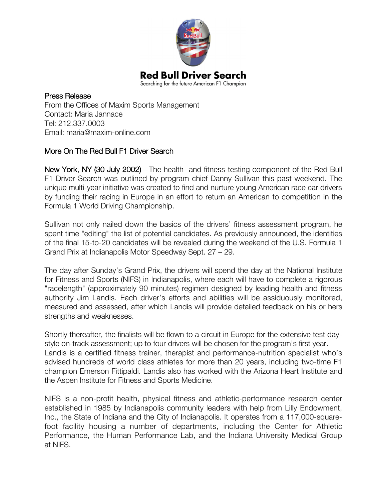

Press Release From the Offices of Maxim Sports Management Contact: Maria Jannace Tel: 212.337.0003 Email: maria@maxim-online.com

## More On The Red Bull F1 Driver Search

New York, NY (30 July 2002)—The health- and fitness-testing component of the Red Bull F1 Driver Search was outlined by program chief Danny Sullivan this past weekend. The unique multi-year initiative was created to find and nurture young American race car drivers by funding their racing in Europe in an effort to return an American to competition in the Formula 1 World Driving Championship.

Sullivan not only nailed down the basics of the drivers' fitness assessment program, he spent time "editing" the list of potential candidates. As previously announced, the identities of the final 15-to-20 candidates will be revealed during the weekend of the U.S. Formula 1 Grand Prix at Indianapolis Motor Speedway Sept. 27 – 29.

The day after Sunday's Grand Prix, the drivers will spend the day at the National Institute for Fitness and Sports (NIFS) in Indianapolis, where each will have to complete a rigorous "racelength" (approximately 90 minutes) regimen designed by leading health and fitness authority Jim Landis. Each driver's efforts and abilities will be assiduously monitored, measured and assessed, after which Landis will provide detailed feedback on his or hers strengths and weaknesses.

Shortly thereafter, the finalists will be flown to a circuit in Europe for the extensive test daystyle on-track assessment; up to four drivers will be chosen for the program's first year. Landis is a certified fitness trainer, therapist and performance-nutrition specialist who's advised hundreds of world class athletes for more than 20 years, including two-time F1 champion Emerson Fittipaldi. Landis also has worked with the Arizona Heart Institute and the Aspen Institute for Fitness and Sports Medicine.

NIFS is a non-profit health, physical fitness and athletic-performance research center established in 1985 by Indianapolis community leaders with help from Lilly Endowment, Inc., the State of Indiana and the City of Indianapolis. It operates from a 117,000-squarefoot facility housing a number of departments, including the Center for Athletic Performance, the Human Performance Lab, and the Indiana University Medical Group at NIFS.